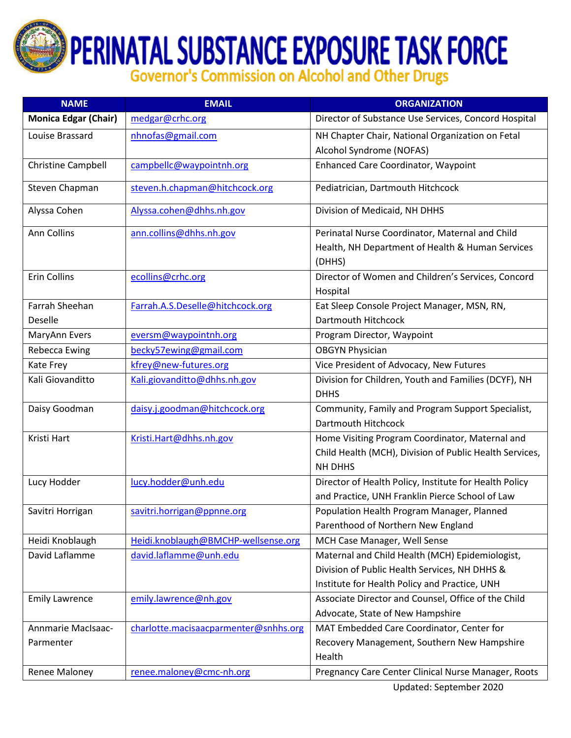**PERINATAL SUBSTANCE EXPOSURE TASK FORCE**<br>Governor's Commission on Alcohol and Other Drugs

| <b>NAME</b>                 | <b>EMAIL</b>                          | <b>ORGANIZATION</b>                                        |
|-----------------------------|---------------------------------------|------------------------------------------------------------|
| <b>Monica Edgar (Chair)</b> | medgar@crhc.org                       | Director of Substance Use Services, Concord Hospital       |
| Louise Brassard             | nhnofas@gmail.com                     | NH Chapter Chair, National Organization on Fetal           |
|                             |                                       | Alcohol Syndrome (NOFAS)                                   |
| <b>Christine Campbell</b>   | campbellc@waypointnh.org              | <b>Enhanced Care Coordinator, Waypoint</b>                 |
| Steven Chapman              | steven.h.chapman@hitchcock.org        | Pediatrician, Dartmouth Hitchcock                          |
| Alyssa Cohen                | Alyssa.cohen@dhhs.nh.gov              | Division of Medicaid, NH DHHS                              |
| Ann Collins                 | ann.collins@dhhs.nh.gov               | Perinatal Nurse Coordinator, Maternal and Child            |
|                             |                                       | Health, NH Department of Health & Human Services<br>(DHHS) |
| <b>Erin Collins</b>         | ecollins@crhc.org                     | Director of Women and Children's Services, Concord         |
|                             |                                       | Hospital                                                   |
| Farrah Sheehan              | Farrah.A.S.Deselle@hitchcock.org      | Eat Sleep Console Project Manager, MSN, RN,                |
| Deselle                     |                                       | Dartmouth Hitchcock                                        |
| MaryAnn Evers               | eversm@waypointnh.org                 | Program Director, Waypoint                                 |
| <b>Rebecca Ewing</b>        | becky57ewing@gmail.com                | <b>OBGYN Physician</b>                                     |
| Kate Frey                   | kfrey@new-futures.org                 | Vice President of Advocacy, New Futures                    |
| Kali Giovanditto            | Kali.giovanditto@dhhs.nh.gov          | Division for Children, Youth and Families (DCYF), NH       |
|                             |                                       | <b>DHHS</b>                                                |
| Daisy Goodman               | daisy.j.goodman@hitchcock.org         | Community, Family and Program Support Specialist,          |
|                             |                                       | Dartmouth Hitchcock                                        |
| Kristi Hart                 | Kristi.Hart@dhhs.nh.gov               | Home Visiting Program Coordinator, Maternal and            |
|                             |                                       | Child Health (MCH), Division of Public Health Services,    |
|                             |                                       | NH DHHS                                                    |
| Lucy Hodder                 | lucy.hodder@unh.edu                   | Director of Health Policy, Institute for Health Policy     |
|                             |                                       | and Practice, UNH Franklin Pierce School of Law            |
| Savitri Horrigan            | savitri.horrigan@ppnne.org            | Population Health Program Manager, Planned                 |
|                             |                                       | Parenthood of Northern New England                         |
| Heidi Knoblaugh             | Heidi.knoblaugh@BMCHP-wellsense.org   | MCH Case Manager, Well Sense                               |
| David Laflamme              | david.laflamme@unh.edu                | Maternal and Child Health (MCH) Epidemiologist,            |
|                             |                                       | Division of Public Health Services, NH DHHS &              |
|                             |                                       | Institute for Health Policy and Practice, UNH              |
| <b>Emily Lawrence</b>       | emily.lawrence@nh.gov                 | Associate Director and Counsel, Office of the Child        |
|                             |                                       | Advocate, State of New Hampshire                           |
| Annmarie MacIsaac-          | charlotte.macisaacparmenter@snhhs.org | MAT Embedded Care Coordinator, Center for                  |
| Parmenter                   |                                       | Recovery Management, Southern New Hampshire                |
|                             |                                       | Health                                                     |
| Renee Maloney               | renee.maloney@cmc-nh.org              | Pregnancy Care Center Clinical Nurse Manager, Roots        |